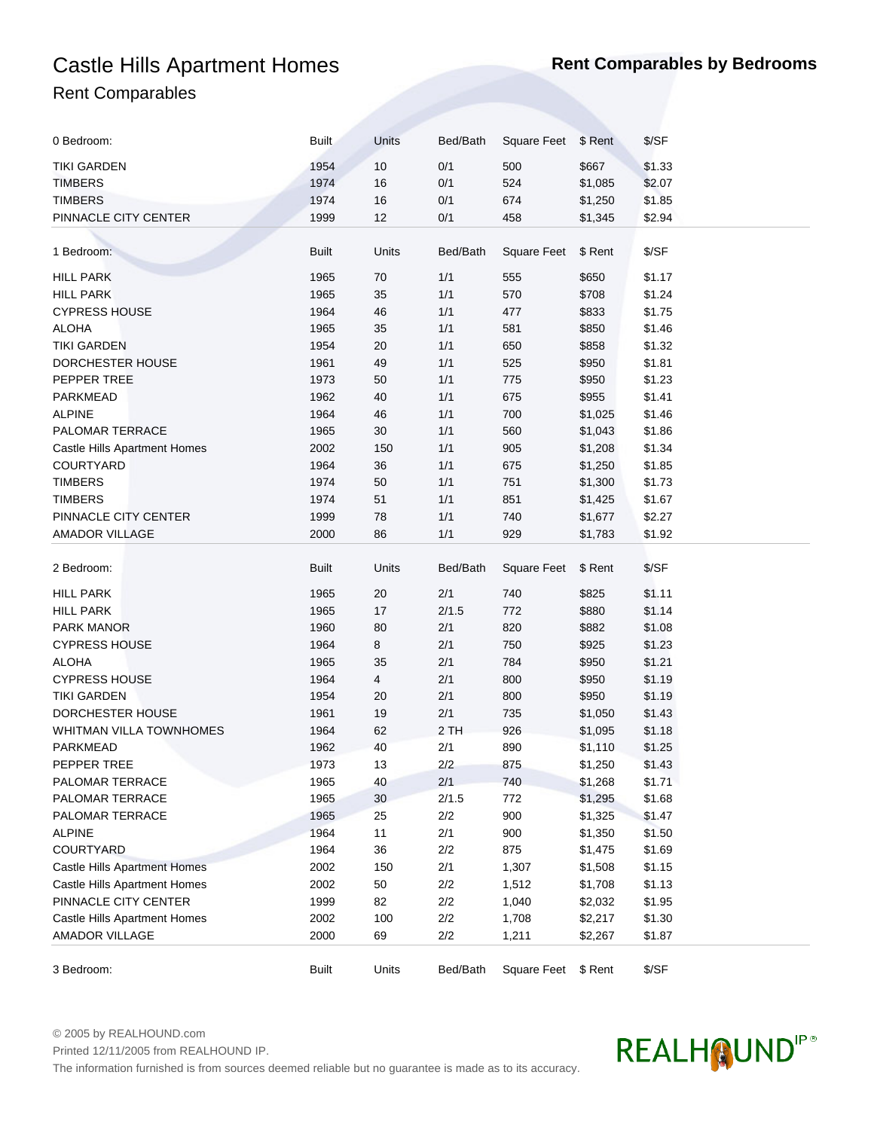## Castle Hills Apartment Homes **Rent Comparables by Bedrooms** Rent Comparables

| 0 Bedroom:                          | <b>Built</b> | Units  | Bed/Bath | Square Feet         | \$ Rent | \$/SF  |
|-------------------------------------|--------------|--------|----------|---------------------|---------|--------|
| TIKI GARDEN                         | 1954         | 10     | 0/1      | 500                 | \$667   | \$1.33 |
| <b>TIMBERS</b>                      | 1974         | 16     | 0/1      | 524                 | \$1,085 | \$2.07 |
| <b>TIMBERS</b>                      | 1974         | 16     | 0/1      | 674                 | \$1,250 | \$1.85 |
| PINNACLE CITY CENTER                | 1999         | 12     | 0/1      | 458                 | \$1,345 | \$2.94 |
|                                     |              |        |          |                     |         |        |
| 1 Bedroom:                          | <b>Built</b> | Units  | Bed/Bath | <b>Square Feet</b>  | \$ Rent | \$/SF  |
|                                     |              |        |          |                     |         |        |
| <b>HILL PARK</b>                    | 1965         | 70     | 1/1      | 555                 | \$650   | \$1.17 |
| <b>HILL PARK</b>                    | 1965         | 35     | 1/1      | 570                 | \$708   | \$1.24 |
| <b>CYPRESS HOUSE</b>                | 1964         | 46     | 1/1      | 477                 | \$833   | \$1.75 |
| <b>ALOHA</b>                        | 1965         | 35     | 1/1      | 581                 | \$850   | \$1.46 |
| <b>TIKI GARDEN</b>                  | 1954         | 20     | 1/1      | 650                 | \$858   | \$1.32 |
| DORCHESTER HOUSE                    | 1961         | 49     | 1/1      | 525                 | \$950   | \$1.81 |
| PEPPER TREE                         | 1973         | 50     | 1/1      | 775                 | \$950   | \$1.23 |
| PARKMEAD                            | 1962         | 40     | 1/1      | 675                 | \$955   | \$1.41 |
| <b>ALPINE</b>                       | 1964         | 46     | 1/1      | 700                 | \$1,025 | \$1.46 |
| PALOMAR TERRACE                     | 1965         | 30     | 1/1      | 560                 | \$1,043 | \$1.86 |
| Castle Hills Apartment Homes        | 2002         | 150    | 1/1      | 905                 | \$1,208 | \$1.34 |
| COURTYARD                           | 1964         | 36     | 1/1      | 675                 | \$1,250 | \$1.85 |
| <b>TIMBERS</b>                      | 1974         | 50     | 1/1      | 751                 | \$1,300 | \$1.73 |
| <b>TIMBERS</b>                      | 1974         | 51     | 1/1      | 851                 | \$1,425 | \$1.67 |
| PINNACLE CITY CENTER                | 1999         | 78     | 1/1      | 740                 |         | \$2.27 |
|                                     |              |        |          |                     | \$1,677 |        |
| <b>AMADOR VILLAGE</b>               | 2000         | 86     | 1/1      | 929                 | \$1,783 | \$1.92 |
| 2 Bedroom:                          | <b>Built</b> | Units  | Bed/Bath | <b>Square Feet</b>  | \$ Rent | \$/SF  |
| <b>HILL PARK</b>                    | 1965         | 20     | 2/1      | 740                 | \$825   | \$1.11 |
| <b>HILL PARK</b>                    | 1965         | 17     | 2/1.5    | 772                 | \$880   | \$1.14 |
| <b>PARK MANOR</b>                   | 1960         | 80     | 2/1      | 820                 | \$882   | \$1.08 |
| <b>CYPRESS HOUSE</b>                | 1964         | 8      | 2/1      | 750                 | \$925   | \$1.23 |
| <b>ALOHA</b>                        | 1965         | 35     | 2/1      | 784                 | \$950   | \$1.21 |
| <b>CYPRESS HOUSE</b>                | 1964         | 4      | 2/1      | 800                 | \$950   | \$1.19 |
| <b>TIKI GARDEN</b>                  | 1954         | 20     | 2/1      | 800                 | \$950   | \$1.19 |
| DORCHESTER HOUSE                    | 1961         | 19     | 2/1      | 735                 | \$1,050 | \$1.43 |
| WHITMAN VILLA TOWNHOMES             | 1964         | 62     | 2 TH     | 926                 | \$1,095 | \$1.18 |
| PARKMEAD                            | 1962         | 40     | 2/1      | 890                 | \$1,110 | \$1.25 |
| PEPPER TREE                         | 1973         | 13     | 2/2      | 875                 | \$1,250 | \$1.43 |
| PALOMAR TERRACE                     | 1965         | 40     | 2/1      | 740                 | \$1,268 | \$1.71 |
| PALOMAR TERRACE                     | 1965         | $30\,$ | 2/1.5    | 772                 | \$1,295 | \$1.68 |
| PALOMAR TERRACE                     | 1965         | 25     | 2/2      | 900                 | \$1,325 | \$1.47 |
| <b>ALPINE</b>                       | 1964         | 11     | 2/1      | 900                 | \$1,350 | \$1.50 |
|                                     |              |        |          |                     |         |        |
| COURTYARD                           | 1964         | 36     | 2/2      | 875                 | \$1,475 | \$1.69 |
| <b>Castle Hills Apartment Homes</b> | 2002         | 150    | 2/1      | 1,307               | \$1,508 | \$1.15 |
| Castle Hills Apartment Homes        | 2002         | 50     | 2/2      | 1,512               | \$1,708 | \$1.13 |
| PINNACLE CITY CENTER                | 1999         | 82     | 2/2      | 1,040               | \$2,032 | \$1.95 |
| Castle Hills Apartment Homes        | 2002         | 100    | 2/2      | 1,708               | \$2,217 | \$1.30 |
| AMADOR VILLAGE                      | 2000         | 69     | 2/2      | 1,211               | \$2,267 | \$1.87 |
| 3 Bedroom:                          | <b>Built</b> | Units  | Bed/Bath | Square Feet \$ Rent |         | \$/SF  |

© 2005 by REALHOUND.com

Printed 12/11/2005 from REALHOUND IP.

The information furnished is from sources deemed reliable but no guarantee is made as to its accuracy.